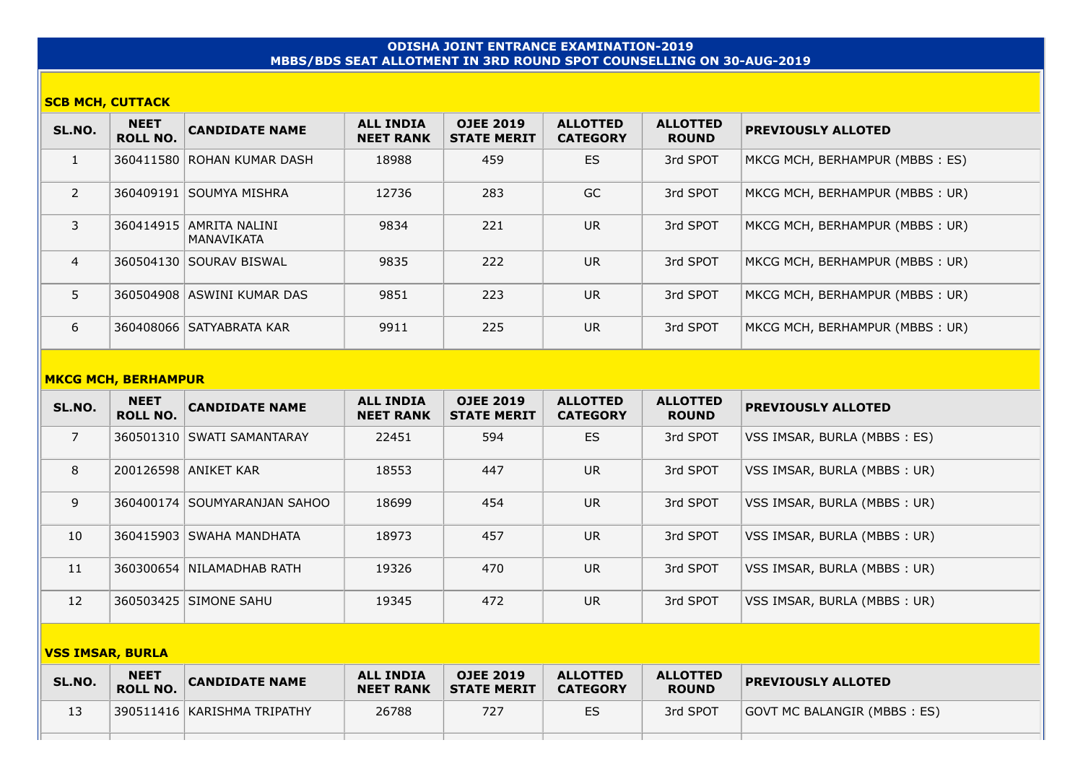## **ODISHA JOINT ENTRANCE EXAMINATION-2019 MBBS/BDS SEAT ALLOTMENT IN 3RD ROUND SPOT COUNSELLING ON 30-AUG-2019**

### **SCB MCH, CUTTACK**

| SL.NO.         | <b>NEET</b><br><b>ROLL NO.</b> | <b>CANDIDATE NAME</b>                     | <b>ALL INDIA</b><br><b>NEET RANK</b> | <b>OJEE 2019</b><br><b>STATE MERIT</b> | <b>ALLOTTED</b><br><b>CATEGORY</b> | <b>ALLOTTED</b><br><b>ROUND</b> | <b>PREVIOUSLY ALLOTED</b>      |
|----------------|--------------------------------|-------------------------------------------|--------------------------------------|----------------------------------------|------------------------------------|---------------------------------|--------------------------------|
| 1              |                                | 360411580 ROHAN KUMAR DASH                | 18988                                | 459                                    | ES                                 | 3rd SPOT                        | MKCG MCH, BERHAMPUR (MBBS: ES) |
| $\overline{2}$ |                                | 360409191 SOUMYA MISHRA                   | 12736                                | 283                                    | GC                                 | 3rd SPOT                        | MKCG MCH, BERHAMPUR (MBBS: UR) |
| 3              |                                | 360414915   AMRITA NALINI<br>  MANAVIKATA | 9834                                 | 221                                    | <b>UR</b>                          | 3rd SPOT                        | MKCG MCH, BERHAMPUR (MBBS: UR) |
| $\overline{4}$ |                                | 360504130 SOURAV BISWAL                   | 9835                                 | 222                                    | <b>UR</b>                          | 3rd SPOT                        | MKCG MCH, BERHAMPUR (MBBS: UR) |
| 5              |                                | 360504908 ASWINI KUMAR DAS                | 9851                                 | 223                                    | <b>UR</b>                          | 3rd SPOT                        | MKCG MCH, BERHAMPUR (MBBS: UR) |
| 6              |                                | 360408066   SATYABRATA KAR                | 9911                                 | 225                                    | <b>UR</b>                          | 3rd SPOT                        | MKCG MCH, BERHAMPUR (MBBS: UR) |

### **MKCG MCH, BERHAMPUR**

| SL.NO.                  | <b>NEET</b><br><b>ROLL NO.</b> | <b>CANDIDATE NAME</b>          | <b>ALL INDIA</b><br><b>NEET RANK</b> | <b>OJEE 2019</b><br><b>STATE MERIT</b> | <b>ALLOTTED</b><br><b>CATEGORY</b> | <b>ALLOTTED</b><br><b>ROUND</b> | <b>PREVIOUSLY ALLOTED</b>   |  |  |
|-------------------------|--------------------------------|--------------------------------|--------------------------------------|----------------------------------------|------------------------------------|---------------------------------|-----------------------------|--|--|
| $\overline{7}$          |                                | 360501310 SWATI SAMANTARAY     | 22451                                | 594                                    | <b>ES</b>                          | 3rd SPOT                        | VSS IMSAR, BURLA (MBBS: ES) |  |  |
| 8                       |                                | 200126598 ANIKET KAR           | 18553                                | 447                                    | <b>UR</b>                          | 3rd SPOT                        | VSS IMSAR, BURLA (MBBS: UR) |  |  |
| 9                       |                                | 360400174   SOUMYARANJAN SAHOO | 18699                                | 454                                    | <b>UR</b>                          | 3rd SPOT                        | VSS IMSAR, BURLA (MBBS: UR) |  |  |
| 10                      |                                | 360415903 SWAHA MANDHATA       | 18973                                | 457                                    | <b>UR</b>                          | 3rd SPOT                        | VSS IMSAR, BURLA (MBBS: UR) |  |  |
| 11                      |                                | 360300654 NILAMADHAB RATH      | 19326                                | 470                                    | <b>UR</b>                          | 3rd SPOT                        | VSS IMSAR, BURLA (MBBS: UR) |  |  |
| 12                      |                                | 360503425 SIMONE SAHU          | 19345                                | 472                                    | <b>UR</b>                          | 3rd SPOT                        | VSS IMSAR, BURLA (MBBS: UR) |  |  |
| <b>VSS IMSAR, BURLA</b> |                                |                                |                                      |                                        |                                    |                                 |                             |  |  |

| SL.NO. | <b>NEET</b><br><b>ROLL NO.</b> | <b>CANDIDATE NAME</b>         | <b>ALL INDIA</b><br><b>NEET RANK</b> | <b>OJEE 2019</b><br><b>STATE MERIT</b> | <b>ALLOTTED</b><br><b>CATEGORY</b> | <b>ALLOTTED</b><br><b>ROUND</b> | <b>PREVIOUSLY ALLOTED</b>    |
|--------|--------------------------------|-------------------------------|--------------------------------------|----------------------------------------|------------------------------------|---------------------------------|------------------------------|
| 13     |                                | 390511416   KARISHMA TRIPATHY | 26788                                | 727                                    | ES                                 | 3rd SPOT                        | GOVT MC BALANGIR (MBBS : ES) |
|        |                                |                               |                                      |                                        |                                    |                                 |                              |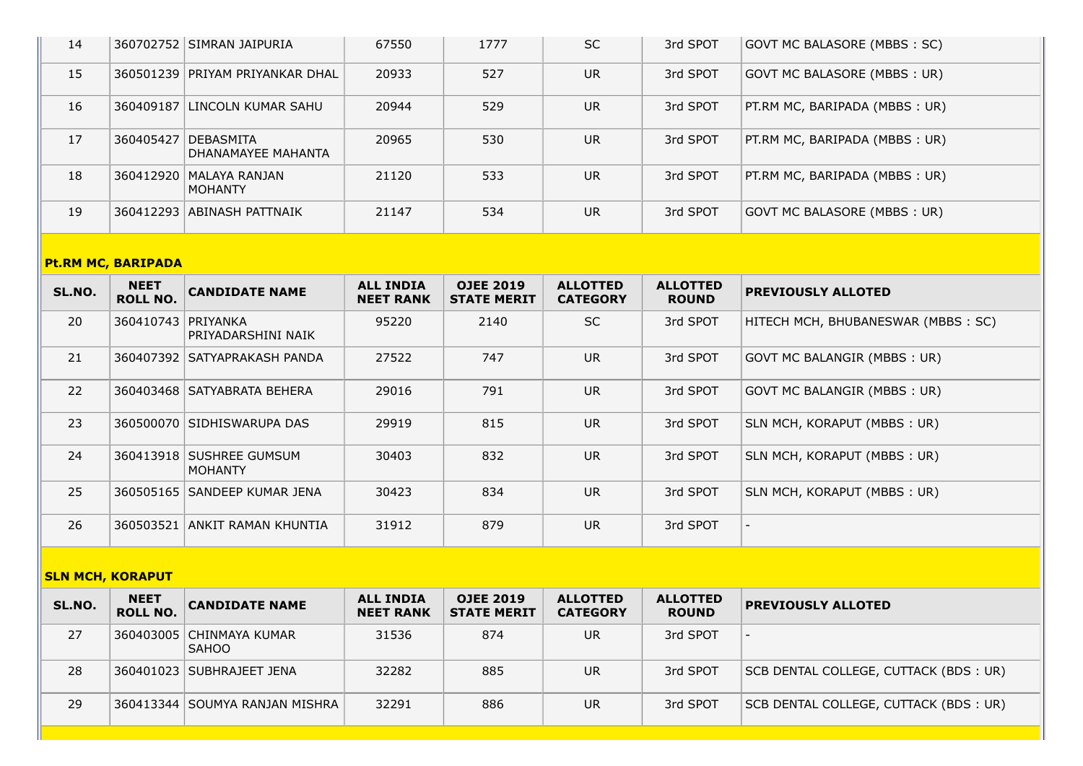| 14 |           | 360702752 SIMRAN JAIPURIA              | 67550 | 1777 | <b>SC</b> | 3rd SPOT | GOVT MC BALASORE (MBBS: SC)    |
|----|-----------|----------------------------------------|-------|------|-----------|----------|--------------------------------|
| 15 |           | 360501239 PRIYAM PRIYANKAR DHAL        | 20933 | 527  | UR.       | 3rd SPOT | GOVT MC BALASORE (MBBS: UR)    |
| 16 | 360409187 | LINCOLN KUMAR SAHU                     | 20944 | 529  | <b>UR</b> | 3rd SPOT | PT.RM MC, BARIPADA (MBBS : UR) |
| 17 | 360405427 | <b>DEBASMITA</b><br>DHANAMAYEE MAHANTA | 20965 | 530  | UR.       | 3rd SPOT | PT.RM MC, BARIPADA (MBBS : UR) |
| 18 |           | 360412920   MALAYA RANJAN<br>MOHANTY   | 21120 | 533  | UR.       | 3rd SPOT | PT.RM MC, BARIPADA (MBBS : UR) |
| 19 |           | 360412293 ABINASH PATTNAIK             | 21147 | 534  | <b>UR</b> | 3rd SPOT | GOVT MC BALASORE (MBBS: UR)    |

# **Pt.RM MC, BARIPADA**

| SL.NO. | <b>NEET</b><br><b>ROLL NO.</b> | <b>CANDIDATE NAME</b>                      | <b>ALL INDIA</b><br><b>NEET RANK</b> | <b>OJEE 2019</b><br><b>STATE MERIT</b> | <b>ALLOTTED</b><br><b>CATEGORY</b> | <b>ALLOTTED</b><br><b>ROUND</b> | <b>PREVIOUSLY ALLOTED</b>          |
|--------|--------------------------------|--------------------------------------------|--------------------------------------|----------------------------------------|------------------------------------|---------------------------------|------------------------------------|
| 20     | 360410743 PRIYANKA             | PRIYADARSHINI NAIK                         | 95220                                | 2140                                   | <b>SC</b>                          | 3rd SPOT                        | HITECH MCH, BHUBANESWAR (MBBS: SC) |
| 21     |                                | 360407392 SATYAPRAKASH PANDA               | 27522                                | 747                                    | <b>UR</b>                          | 3rd SPOT                        | GOVT MC BALANGIR (MBBS: UR)        |
| 22     |                                | 360403468   SATYABRATA BEHERA              | 29016                                | 791                                    | <b>UR</b>                          | 3rd SPOT                        | GOVT MC BALANGIR (MBBS: UR)        |
| 23     |                                | 360500070 SIDHISWARUPA DAS                 | 29919                                | 815                                    | <b>UR</b>                          | 3rd SPOT                        | SLN MCH, KORAPUT (MBBS: UR)        |
| 24     |                                | 360413918 SUSHREE GUMSUM<br><b>MOHANTY</b> | 30403                                | 832                                    | <b>UR</b>                          | 3rd SPOT                        | SLN MCH, KORAPUT (MBBS: UR)        |
| 25     |                                | 360505165 SANDEEP KUMAR JENA               | 30423                                | 834                                    | <b>UR</b>                          | 3rd SPOT                        | SLN MCH, KORAPUT (MBBS: UR)        |
| 26     | 360503521                      | ANKIT RAMAN KHUNTIA                        | 31912                                | 879                                    | <b>UR</b>                          | 3rd SPOT                        |                                    |

# **SLN MCH, KORAPUT**

| SL.NO. | <b>NEET</b><br><b>ROLL NO.</b> | <b>CANDIDATE NAME</b>               | <b>ALL INDIA</b><br><b>NEET RANK</b> | <b>OJEE 2019</b><br><b>STATE MERIT</b> | <b>ALLOTTED</b><br><b>CATEGORY</b> | <b>ALLOTTED</b><br><b>ROUND</b> | <b>PREVIOUSLY ALLOTED</b>             |
|--------|--------------------------------|-------------------------------------|--------------------------------------|----------------------------------------|------------------------------------|---------------------------------|---------------------------------------|
| 27     |                                | 360403005 CHINMAYA KUMAR<br>  SAHOO | 31536                                | 874                                    | UR                                 | 3rd SPOT                        |                                       |
| 28     |                                | 360401023 SUBHRAJEET JENA           | 32282                                | 885                                    | UR                                 | 3rd SPOT                        | SCB DENTAL COLLEGE, CUTTACK (BDS: UR) |
| 29     |                                | 360413344 SOUMYA RANJAN MISHRA      | 32291                                | 886                                    | UR                                 | 3rd SPOT                        | SCB DENTAL COLLEGE, CUTTACK (BDS: UR) |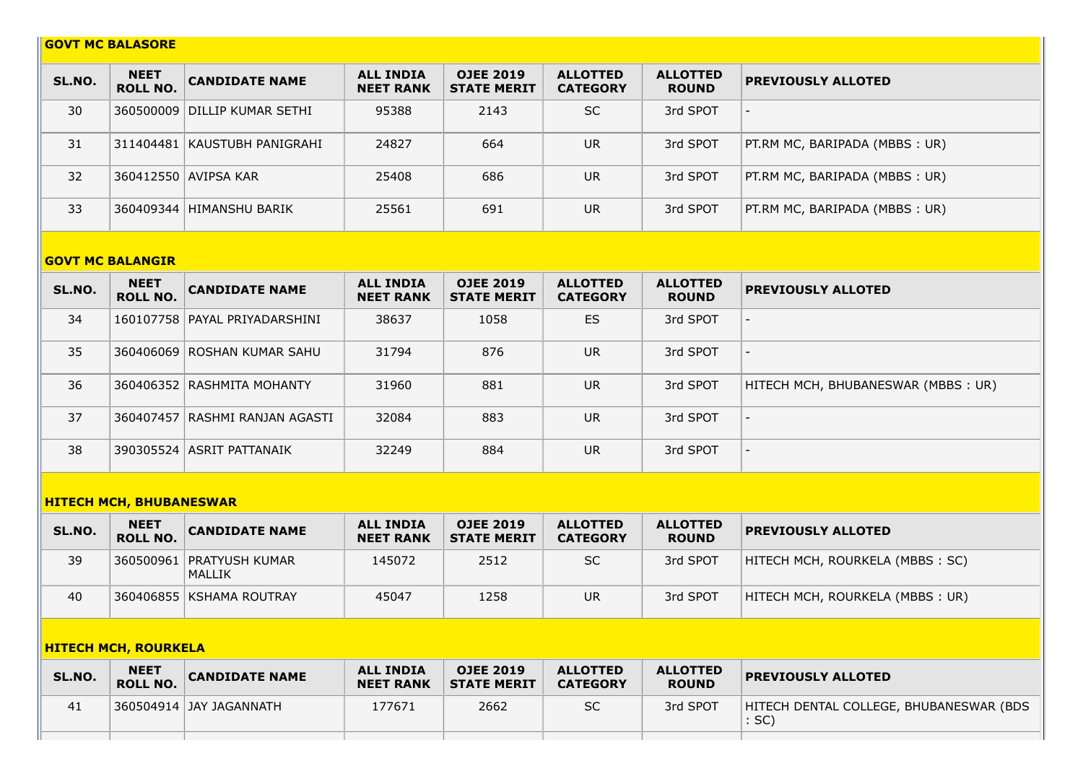## **GOVT MC BALASORE**

| SL.NO. | <b>NEET</b><br><b>ROLL NO.</b> | <b>CANDIDATE NAME</b>          | <b>ALL INDIA</b><br><b>NEET RANK</b> | <b>OJEE 2019</b><br><b>STATE MERIT</b> | <b>ALLOTTED</b><br><b>CATEGORY</b> | <b>ALLOTTED</b><br><b>ROUND</b> | <b>PREVIOUSLY ALLOTED</b>      |
|--------|--------------------------------|--------------------------------|--------------------------------------|----------------------------------------|------------------------------------|---------------------------------|--------------------------------|
| 30     |                                | 360500009 DILLIP KUMAR SETHI   | 95388                                | 2143                                   | <b>SC</b>                          | 3rd SPOT                        |                                |
| 31     |                                | 311404481   KAUSTUBH PANIGRAHI | 24827                                | 664                                    | <b>UR</b>                          | 3rd SPOT                        | PT.RM MC, BARIPADA (MBBS: UR)  |
| 32     |                                | 360412550 AVIPSA KAR           | 25408                                | 686                                    | UR                                 | 3rd SPOT                        | PT.RM MC, BARIPADA (MBBS : UR) |
| 33     |                                | 360409344 HIMANSHU BARIK       | 25561                                | 691                                    | <b>UR</b>                          | 3rd SPOT                        | PT.RM MC, BARIPADA (MBBS : UR) |

#### **GOVT MC BALANGIR**

| SL.NO. | <b>NEET</b><br><b>ROLL NO.</b> | <b>CANDIDATE NAME</b>         | <b>ALL INDIA</b><br><b>NEET RANK</b> | <b>OJEE 2019</b><br><b>STATE MERIT</b> | <b>ALLOTTED</b><br><b>CATEGORY</b> | <b>ALLOTTED</b><br><b>ROUND</b> | <b>PREVIOUSLY ALLOTED</b>          |
|--------|--------------------------------|-------------------------------|--------------------------------------|----------------------------------------|------------------------------------|---------------------------------|------------------------------------|
| 34     |                                | 160107758 PAYAL PRIYADARSHINI | 38637                                | 1058                                   | ES                                 | 3rd SPOT                        |                                    |
| 35     |                                | 360406069 ROSHAN KUMAR SAHU   | 31794                                | 876                                    | <b>UR</b>                          | 3rd SPOT                        |                                    |
| 36     |                                | 360406352 RASHMITA MOHANTY    | 31960                                | 881                                    | <b>UR</b>                          | 3rd SPOT                        | HITECH MCH, BHUBANESWAR (MBBS: UR) |
| 37     | 360407457                      | RASHMI RANJAN AGASTI          | 32084                                | 883                                    | <b>UR</b>                          | 3rd SPOT                        | $\overline{\phantom{0}}$           |
| 38     |                                | 390305524 ASRIT PATTANAIK     | 32249                                | 884                                    | <b>UR</b>                          | 3rd SPOT                        | $\overline{\phantom{0}}$           |

# **HITECH MCH, BHUBANESWAR**

| SL.NO. | <b>NEET</b><br><b>ROLL NO.</b> | <b>CANDIDATE NAME</b>              | <b>ALL INDIA</b><br><b>NEET RANK</b> | <b>OJEE 2019</b><br><b>STATE MERIT</b> | <b>ALLOTTED</b><br><b>CATEGORY</b> | <b>ALLOTTED</b><br><b>ROUND</b> | <b>PREVIOUSLY ALLOTED</b>        |
|--------|--------------------------------|------------------------------------|--------------------------------------|----------------------------------------|------------------------------------|---------------------------------|----------------------------------|
| 39     |                                | 360500961 PRATYUSH KUMAR<br>MALLIK | 145072                               | 2512                                   | <b>SC</b>                          | 3rd SPOT                        | HITECH MCH, ROURKELA (MBBS : SC) |
| 40     |                                | 360406855   KSHAMA ROUTRAY         | 45047                                | 1258                                   | UR.                                | 3rd SPOT                        | HITECH MCH, ROURKELA (MBBS: UR)  |

# **HITECH MCH, ROURKELA**

| SL.NO. | <b>NEET</b><br><b>ROLL NO.</b> | <b>CANDIDATE NAME</b>   | <b>ALL INDIA</b><br><b>NEET RANK</b> | <b>OJEE 2019</b><br><b>STATE MERIT</b> | <b>ALLOTTED</b><br><b>CATEGORY</b> | <b>ALLOTTED</b><br><b>ROUND</b> | <b>PREVIOUSLY ALLOTED</b>                         |
|--------|--------------------------------|-------------------------|--------------------------------------|----------------------------------------|------------------------------------|---------------------------------|---------------------------------------------------|
| 41     |                                | 360504914 JAY JAGANNATH | 177671                               | 2662                                   | SC                                 | 3rd SPOT                        | HITECH DENTAL COLLEGE, BHUBANESWAR (BDS)<br>: SC) |
|        |                                |                         |                                      |                                        |                                    |                                 |                                                   |